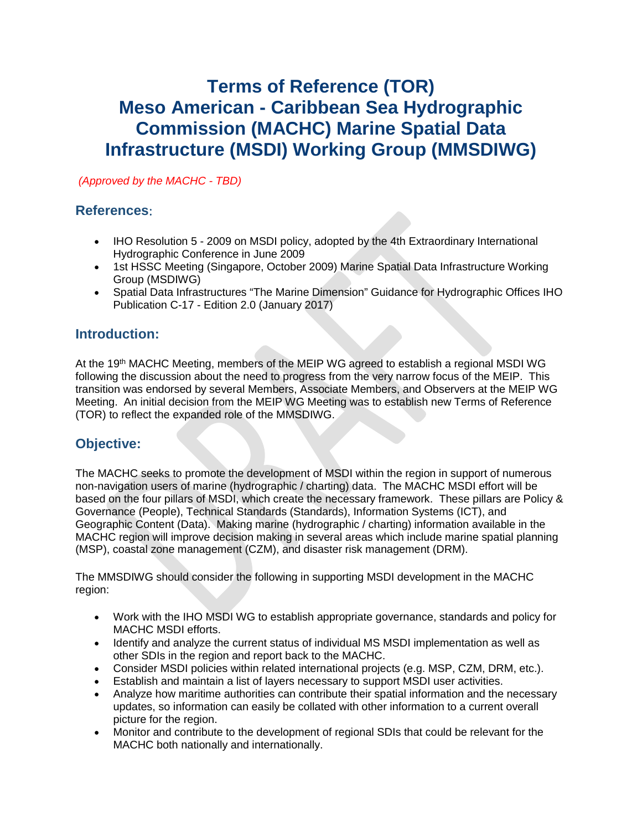# **Terms of Reference (TOR) Meso American - Caribbean Sea Hydrographic Commission (MACHC) Marine Spatial Data Infrastructure (MSDI) Working Group (MMSDIWG)**

*(Approved by the MACHC - TBD)*

#### **References**:

- IHO Resolution 5 2009 on MSDI policy, adopted by the 4th Extraordinary International Hydrographic Conference in June 2009
- 1st HSSC Meeting (Singapore, October 2009) Marine Spatial Data Infrastructure Working Group (MSDIWG)
- Spatial Data Infrastructures "The Marine Dimension" Guidance for Hydrographic Offices IHO Publication C-17 - Edition 2.0 (January 2017)

## **Introduction:**

At the 19<sup>th</sup> MACHC Meeting, members of the MEIP WG agreed to establish a regional MSDI WG following the discussion about the need to progress from the very narrow focus of the MEIP. This transition was endorsed by several Members, Associate Members, and Observers at the MEIP WG Meeting. An initial decision from the MEIP WG Meeting was to establish new Terms of Reference (TOR) to reflect the expanded role of the MMSDIWG.

# **Objective:**

The MACHC seeks to promote the development of MSDI within the region in support of numerous non-navigation users of marine (hydrographic / charting) data. The MACHC MSDI effort will be based on the four pillars of MSDI, which create the necessary framework. These pillars are Policy & Governance (People), Technical Standards (Standards), Information Systems (ICT), and Geographic Content (Data). Making marine (hydrographic / charting) information available in the MACHC region will improve decision making in several areas which include marine spatial planning (MSP), coastal zone management (CZM), and disaster risk management (DRM).

The MMSDIWG should consider the following in supporting MSDI development in the MACHC region:

- Work with the IHO MSDI WG to establish appropriate governance, standards and policy for MACHC MSDI efforts.
- Identify and analyze the current status of individual MS MSDI implementation as well as other SDIs in the region and report back to the MACHC.
- Consider MSDI policies within related international projects (e.g. MSP, CZM, DRM, etc.).
- Establish and maintain a list of layers necessary to support MSDI user activities.
- Analyze how maritime authorities can contribute their spatial information and the necessary updates, so information can easily be collated with other information to a current overall picture for the region.
- Monitor and contribute to the development of regional SDIs that could be relevant for the MACHC both nationally and internationally.